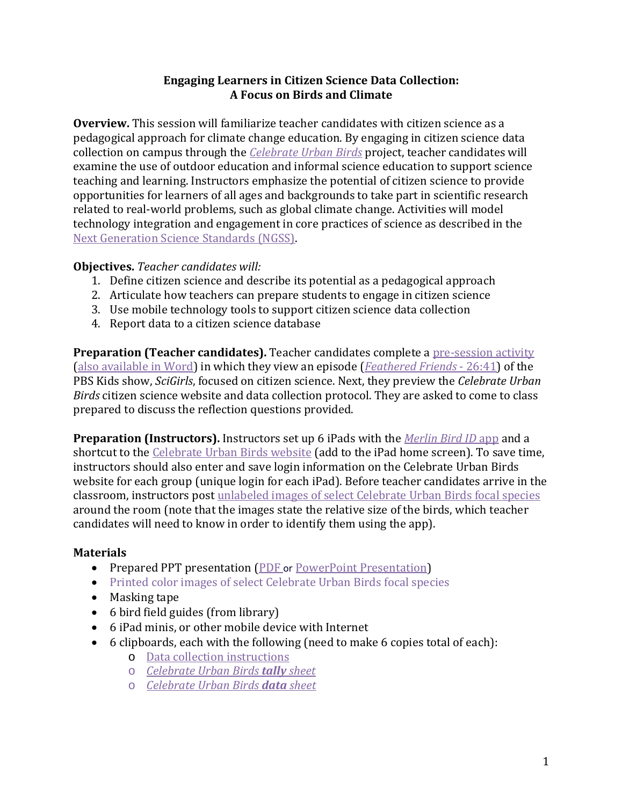## **Engaging Learners in Citizen Science Data Collection: A Focus on Birds and Climate**

**Overview.** This session will familiarize teacher candidates with citizen science as a pedagogical approach for climate change education. By engaging in citizen science data collection on campus through the *[Celebrate Urban Birds](http://celebrateurbanbirds.org/)* project, teacher candidates will examine the use of outdoor education and informal science education to support science teaching and learning. Instructors emphasize the potential of citizen science to provide opportunities for learners of all ages and backgrounds to take part in scientific research related to real-world problems, such as global climate change. Activities will model technology integration and engagement in core practices of science as described in the [Next Generation Science Standards](http://www.nextgenscience.org/) (NGSS).

## **Objectives.** *Teacher candidates will:*

- 1. Define citizen science and describe its potential as a pedagogical approach
- 2. Articulate how teachers can prepare students to engage in citizen science
- 3. Use mobile technology tools to support citizen science data collection
- 4. Report data to a citizen science database

**Preparation (Teacher candidates).** Teacher candidates complete a [pre-session activity](http://www.climateedresearch.org/citizen-science/Preview_activity_PDF.pdf) [\(also available in Word\)](http://www.climateedresearch.org/citizen-science/Preview_activity_Word.docx) in which they view an episode (*[Feathered Friends](http://pbskids.org/scigirls/videos/nature-nurture)* - 26:41) of the PBS Kids show, *SciGirls*, focused on citizen science. Next, they preview the *Celebrate Urban Birds* citizen science website and data collection protocol. They are asked to come to class prepared to discuss the reflection questions provided.

**Preparation (Instructors).** Instructors set up 6 iPads with the *[Merlin Bird ID](http://merlin.allaboutbirds.org/)* app and a shortcut to the [Celebrate Urban Birds website](http://celebrateurbanbirds.org/) (add to the iPad home screen). To save time, instructors should also enter and save login information on the Celebrate Urban Birds website for each group (unique login for each iPad). Before teacher candidates arrive in the classroom, instructors post unlabeled [images of select Celebrate Urban Birds](http://www.climateedresearch.org/citizen-science/bird_species_images.pdf) focal species around the room (note that the images state the relative size of the birds, which teacher candidates will need to know in order to identify them using the app).

## **Materials**

- Prepared PPT presentation [\(PDF](http://www.climateedresearch.org/citizen-science/Session_1_data_collection_instructions_PDF.pdf) or [PowerPoint Presentation\)](http://www.climateedresearch.org/citizen-science/Session_1_PowerPoint.pptx)
- [Printed color images of select Celebrate Urban Birds](http://www.climateedresearch.org/citizen-science/bird_species_images.pdf) focal species
- Masking tape
- 6 bird field guides (from library)
- 6 iPad minis, or other mobile device with Internet
- 6 clipboards, each with the following (need to make 6 copies total of each):
	- o [Data collection instructions](http://www.climateedresearch.org/citizen-science/Session_1_data_collection_instructions_PDF.pdf)
	- o *[Celebrate Urban Birds](http://celebrateurbanbirds.org/wp-content/uploads/2012/08/CUBs-Focal-Species-Tally-Sheet-REV.pdfhttp:/celebrateurbanbirds.org/wp-content/uploads/2012/08/CUBs-Focal-Species-Tally-Sheet-REV.pdf) tally sheet*
	- o *[Celebrate Urban Birds](http://celebrateurbanbirds.org/wp-content/uploads/2012/09/Celebrate-Urban-Birds-Activated-5.pdfhttp:/celebrateurbanbirds.org/wp-content/uploads/2012/09/Celebrate-Urban-Birds-Activated-5.pdf) data sheet*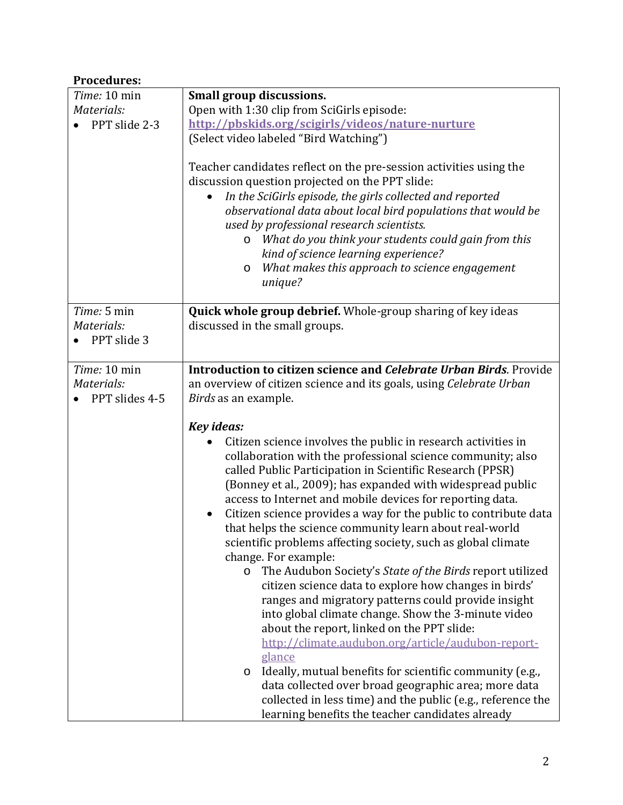## **Procedures:**

| Time: 10 min   | Small group discussions.                                                                                                                                                                                                                                                                                                                                                                                                                                                                                                                                                                                                                                                                                                                                                                                                                                                                                                                                                  |
|----------------|---------------------------------------------------------------------------------------------------------------------------------------------------------------------------------------------------------------------------------------------------------------------------------------------------------------------------------------------------------------------------------------------------------------------------------------------------------------------------------------------------------------------------------------------------------------------------------------------------------------------------------------------------------------------------------------------------------------------------------------------------------------------------------------------------------------------------------------------------------------------------------------------------------------------------------------------------------------------------|
| Materials:     | Open with 1:30 clip from SciGirls episode:                                                                                                                                                                                                                                                                                                                                                                                                                                                                                                                                                                                                                                                                                                                                                                                                                                                                                                                                |
| PPT slide 2-3  | http://pbskids.org/scigirls/videos/nature-nurture                                                                                                                                                                                                                                                                                                                                                                                                                                                                                                                                                                                                                                                                                                                                                                                                                                                                                                                         |
|                | (Select video labeled "Bird Watching")                                                                                                                                                                                                                                                                                                                                                                                                                                                                                                                                                                                                                                                                                                                                                                                                                                                                                                                                    |
|                | Teacher candidates reflect on the pre-session activities using the<br>discussion question projected on the PPT slide:<br>In the SciGirls episode, the girls collected and reported<br>observational data about local bird populations that would be<br>used by professional research scientists.<br>What do you think your students could gain from this<br>$\circ$<br>kind of science learning experience?<br>What makes this approach to science engagement<br>$\circ$<br>unique?                                                                                                                                                                                                                                                                                                                                                                                                                                                                                       |
| Time: 5 min    | <b>Quick whole group debrief.</b> Whole-group sharing of key ideas                                                                                                                                                                                                                                                                                                                                                                                                                                                                                                                                                                                                                                                                                                                                                                                                                                                                                                        |
| Materials:     | discussed in the small groups.                                                                                                                                                                                                                                                                                                                                                                                                                                                                                                                                                                                                                                                                                                                                                                                                                                                                                                                                            |
| PPT slide 3    |                                                                                                                                                                                                                                                                                                                                                                                                                                                                                                                                                                                                                                                                                                                                                                                                                                                                                                                                                                           |
| Time: 10 min   | Introduction to citizen science and Celebrate Urban Birds. Provide                                                                                                                                                                                                                                                                                                                                                                                                                                                                                                                                                                                                                                                                                                                                                                                                                                                                                                        |
| Materials:     | an overview of citizen science and its goals, using Celebrate Urban                                                                                                                                                                                                                                                                                                                                                                                                                                                                                                                                                                                                                                                                                                                                                                                                                                                                                                       |
| PPT slides 4-5 | Birds as an example.                                                                                                                                                                                                                                                                                                                                                                                                                                                                                                                                                                                                                                                                                                                                                                                                                                                                                                                                                      |
|                |                                                                                                                                                                                                                                                                                                                                                                                                                                                                                                                                                                                                                                                                                                                                                                                                                                                                                                                                                                           |
|                | <b>Key ideas:</b>                                                                                                                                                                                                                                                                                                                                                                                                                                                                                                                                                                                                                                                                                                                                                                                                                                                                                                                                                         |
|                | Citizen science involves the public in research activities in<br>collaboration with the professional science community; also<br>called Public Participation in Scientific Research (PPSR)<br>(Bonney et al., 2009); has expanded with widespread public<br>access to Internet and mobile devices for reporting data.<br>Citizen science provides a way for the public to contribute data<br>that helps the science community learn about real-world<br>scientific problems affecting society, such as global climate<br>change. For example:<br>The Audubon Society's State of the Birds report utilized<br>$\circ$<br>citizen science data to explore how changes in birds'<br>ranges and migratory patterns could provide insight<br>into global climate change. Show the 3-minute video<br>about the report, linked on the PPT slide:<br>http://climate.audubon.org/article/audubon-report-<br>glance<br>Ideally, mutual benefits for scientific community (e.g.,<br>O |
|                | data collected over broad geographic area; more data<br>collected in less time) and the public (e.g., reference the<br>learning benefits the teacher candidates already                                                                                                                                                                                                                                                                                                                                                                                                                                                                                                                                                                                                                                                                                                                                                                                                   |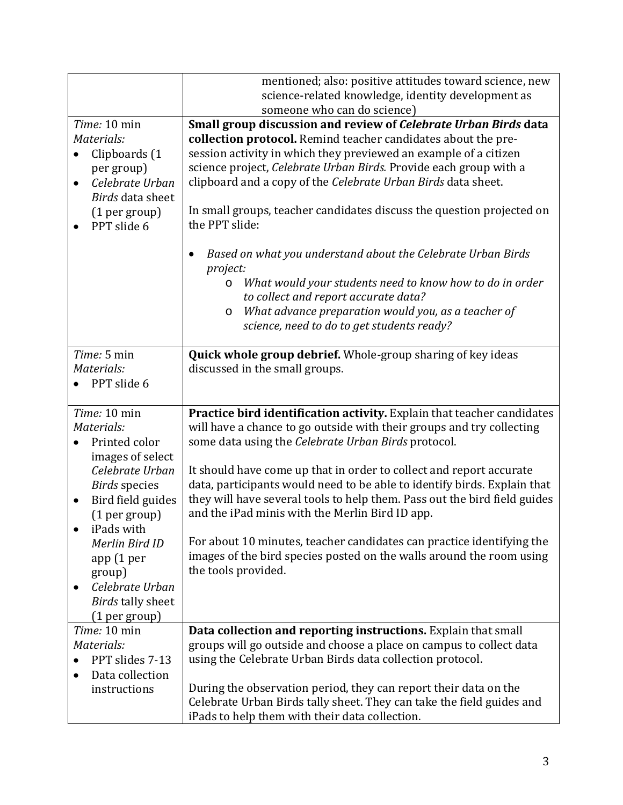|                                     | mentioned; also: positive attitudes toward science, new                                                                          |
|-------------------------------------|----------------------------------------------------------------------------------------------------------------------------------|
|                                     | science-related knowledge, identity development as                                                                               |
|                                     | someone who can do science)                                                                                                      |
| Time: 10 min<br>Materials:          | Small group discussion and review of Celebrate Urban Birds data<br>collection protocol. Remind teacher candidates about the pre- |
| Clipboards (1<br>$\bullet$          | session activity in which they previewed an example of a citizen                                                                 |
| per group)                          | science project, Celebrate Urban Birds. Provide each group with a                                                                |
| Celebrate Urban<br>$\bullet$        | clipboard and a copy of the Celebrate Urban Birds data sheet.                                                                    |
| Birds data sheet                    |                                                                                                                                  |
| (1 per group)                       | In small groups, teacher candidates discuss the question projected on                                                            |
| PPT slide 6                         | the PPT slide:                                                                                                                   |
|                                     | Based on what you understand about the Celebrate Urban Birds<br>project:                                                         |
|                                     | What would your students need to know how to do in order<br>$\circ$<br>to collect and report accurate data?                      |
|                                     | What advance preparation would you, as a teacher of<br>$\circ$                                                                   |
|                                     | science, need to do to get students ready?                                                                                       |
|                                     |                                                                                                                                  |
| Time: 5 min                         | <b>Quick whole group debrief.</b> Whole-group sharing of key ideas                                                               |
| Materials:                          | discussed in the small groups.                                                                                                   |
| PPT slide 6                         |                                                                                                                                  |
|                                     |                                                                                                                                  |
| Time: 10 min                        | Practice bird identification activity. Explain that teacher candidates                                                           |
| Materials:                          | will have a chance to go outside with their groups and try collecting                                                            |
| Printed color                       | some data using the Celebrate Urban Birds protocol.                                                                              |
| images of select<br>Celebrate Urban | It should have come up that in order to collect and report accurate                                                              |
| <b>Birds</b> species                | data, participants would need to be able to identify birds. Explain that                                                         |
| Bird field guides<br>$\bullet$      | they will have several tools to help them. Pass out the bird field guides                                                        |
| (1 per group)                       | and the iPad minis with the Merlin Bird ID app.                                                                                  |
| iPads with                          |                                                                                                                                  |
| Merlin Bird ID                      | For about 10 minutes, teacher candidates can practice identifying the                                                            |
| app (1 per                          | images of the bird species posted on the walls around the room using                                                             |
| group)                              | the tools provided.                                                                                                              |
| Celebrate Urban<br>$\bullet$        |                                                                                                                                  |
| <b>Birds tally sheet</b>            |                                                                                                                                  |
| (1 per group)                       |                                                                                                                                  |
| Time: 10 min                        | Data collection and reporting instructions. Explain that small                                                                   |
| Materials:                          | groups will go outside and choose a place on campus to collect data                                                              |
| PPT slides 7-13                     | using the Celebrate Urban Birds data collection protocol.                                                                        |
| Data collection                     |                                                                                                                                  |
| instructions                        | During the observation period, they can report their data on the                                                                 |
|                                     | Celebrate Urban Birds tally sheet. They can take the field guides and                                                            |
|                                     | iPads to help them with their data collection.                                                                                   |